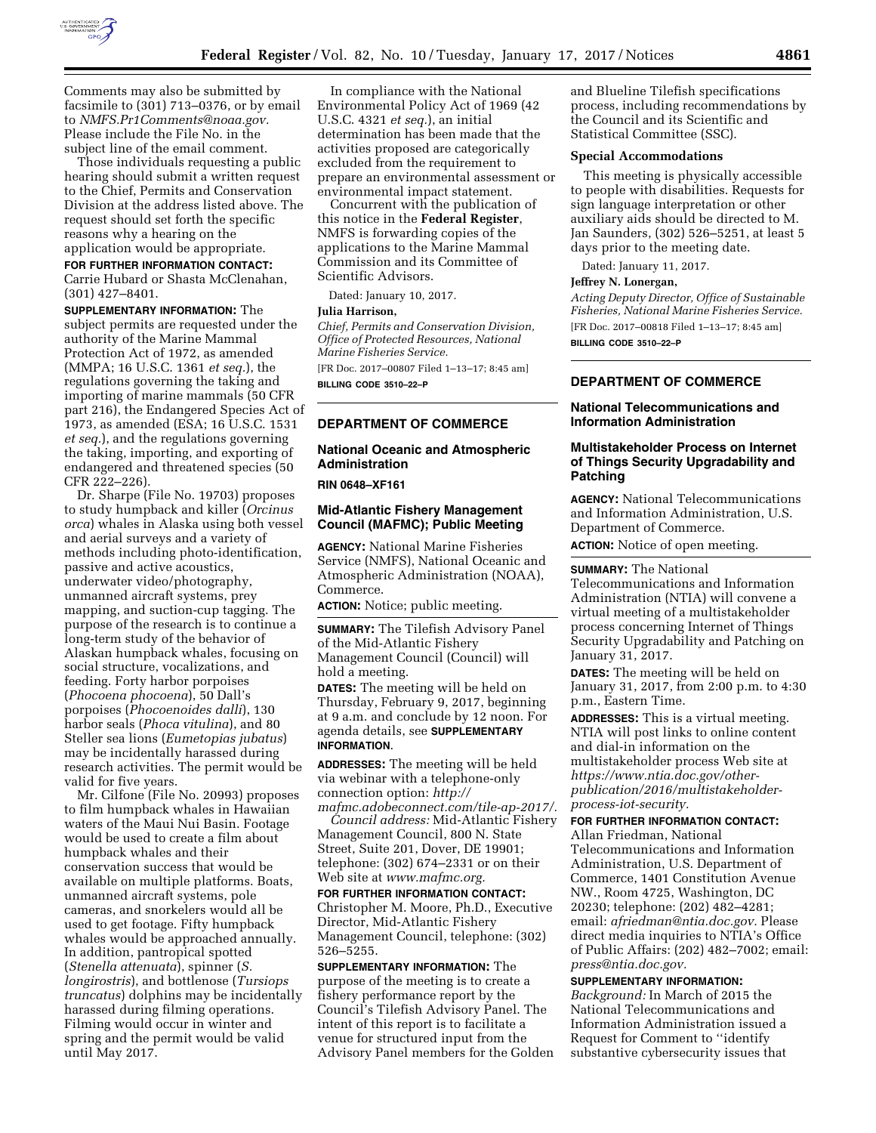

Comments may also be submitted by facsimile to (301) 713–0376, or by email to *[NMFS.Pr1Comments@noaa.gov.](mailto:NMFS.Pr1Comments@noaa.gov)*  Please include the File No. in the subject line of the email comment.

Those individuals requesting a public hearing should submit a written request to the Chief, Permits and Conservation Division at the address listed above. The request should set forth the specific reasons why a hearing on the application would be appropriate.

## **FOR FURTHER INFORMATION CONTACT:**

Carrie Hubard or Shasta McClenahan, (301) 427–8401.

**SUPPLEMENTARY INFORMATION:** The subject permits are requested under the authority of the Marine Mammal Protection Act of 1972, as amended (MMPA; 16 U.S.C. 1361 *et seq.*), the regulations governing the taking and importing of marine mammals (50 CFR part 216), the Endangered Species Act of 1973, as amended (ESA; 16 U.S.C. 1531 *et seq.*), and the regulations governing the taking, importing, and exporting of endangered and threatened species (50 CFR 222–226).

Dr. Sharpe (File No. 19703) proposes to study humpback and killer (*Orcinus orca*) whales in Alaska using both vessel and aerial surveys and a variety of methods including photo-identification, passive and active acoustics, underwater video/photography, unmanned aircraft systems, prey mapping, and suction-cup tagging. The purpose of the research is to continue a long-term study of the behavior of Alaskan humpback whales, focusing on social structure, vocalizations, and feeding. Forty harbor porpoises (*Phocoena phocoena*), 50 Dall's porpoises (*Phocoenoides dalli*), 130 harbor seals (*Phoca vitulina*), and 80 Steller sea lions (*Eumetopias jubatus*) may be incidentally harassed during research activities. The permit would be valid for five years.

Mr. Cilfone (File No. 20993) proposes to film humpback whales in Hawaiian waters of the Maui Nui Basin. Footage would be used to create a film about humpback whales and their conservation success that would be available on multiple platforms. Boats, unmanned aircraft systems, pole cameras, and snorkelers would all be used to get footage. Fifty humpback whales would be approached annually. In addition, pantropical spotted (*Stenella attenuata*), spinner (*S. longirostris*), and bottlenose (*Tursiops truncatus*) dolphins may be incidentally harassed during filming operations. Filming would occur in winter and spring and the permit would be valid until May 2017.

In compliance with the National Environmental Policy Act of 1969 (42 U.S.C. 4321 *et seq.*), an initial determination has been made that the activities proposed are categorically excluded from the requirement to prepare an environmental assessment or environmental impact statement.

Concurrent with the publication of this notice in the **Federal Register**, NMFS is forwarding copies of the applications to the Marine Mammal Commission and its Committee of Scientific Advisors.

Dated: January 10, 2017.

#### **Julia Harrison,**

*Chief, Permits and Conservation Division, Office of Protected Resources, National Marine Fisheries Service.* 

[FR Doc. 2017–00807 Filed 1–13–17; 8:45 am] **BILLING CODE 3510–22–P** 

#### **DEPARTMENT OF COMMERCE**

# **National Oceanic and Atmospheric Administration**

**RIN 0648–XF161** 

# **Mid-Atlantic Fishery Management Council (MAFMC); Public Meeting**

**AGENCY:** National Marine Fisheries Service (NMFS), National Oceanic and Atmospheric Administration (NOAA), Commerce.

**ACTION:** Notice; public meeting.

**SUMMARY:** The Tilefish Advisory Panel of the Mid-Atlantic Fishery Management Council (Council) will hold a meeting.

**DATES:** The meeting will be held on Thursday, February 9, 2017, beginning at 9 a.m. and conclude by 12 noon. For agenda details, see **SUPPLEMENTARY INFORMATION**.

**ADDRESSES:** The meeting will be held via webinar with a telephone-only connection option: *[http://](http://mafmc.adobeconnect.com/tile-ap-2017/)  [mafmc.adobeconnect.com/tile-ap-2017/.](http://mafmc.adobeconnect.com/tile-ap-2017/)* 

*Council address:* Mid-Atlantic Fishery Management Council, 800 N. State Street, Suite 201, Dover, DE 19901; telephone: (302) 674–2331 or on their Web site at *[www.mafmc.org.](http://www.mafmc.org)* 

**FOR FURTHER INFORMATION CONTACT:**  Christopher M. Moore, Ph.D., Executive Director, Mid-Atlantic Fishery Management Council, telephone: (302) 526–5255.

**SUPPLEMENTARY INFORMATION:** The purpose of the meeting is to create a fishery performance report by the Council's Tilefish Advisory Panel. The intent of this report is to facilitate a venue for structured input from the Advisory Panel members for the Golden and Blueline Tilefish specifications process, including recommendations by the Council and its Scientific and Statistical Committee (SSC).

## **Special Accommodations**

This meeting is physically accessible to people with disabilities. Requests for sign language interpretation or other auxiliary aids should be directed to M. Jan Saunders, (302) 526–5251, at least 5 days prior to the meeting date.

Dated: January 11, 2017.

## **Jeffrey N. Lonergan,**

*Acting Deputy Director, Office of Sustainable Fisheries, National Marine Fisheries Service.*  [FR Doc. 2017–00818 Filed 1–13–17; 8:45 am] **BILLING CODE 3510–22–P** 

# **DEPARTMENT OF COMMERCE**

# **National Telecommunications and Information Administration**

## **Multistakeholder Process on Internet of Things Security Upgradability and Patching**

**AGENCY:** National Telecommunications and Information Administration, U.S. Department of Commerce. **ACTION:** Notice of open meeting.

**SUMMARY:** The National Telecommunications and Information Administration (NTIA) will convene a virtual meeting of a multistakeholder process concerning Internet of Things Security Upgradability and Patching on January 31, 2017.

**DATES:** The meeting will be held on January 31, 2017, from 2:00 p.m. to 4:30 p.m., Eastern Time.

**ADDRESSES:** This is a virtual meeting. NTIA will post links to online content and dial-in information on the multistakeholder process Web site at *[https://www.ntia.doc.gov/other](https://www.ntia.doc.gov/other-publication/2016/multistakeholder-process-iot-security)[publication/2016/multistakeholder](https://www.ntia.doc.gov/other-publication/2016/multistakeholder-process-iot-security)[process-iot-security.](https://www.ntia.doc.gov/other-publication/2016/multistakeholder-process-iot-security)* 

# **FOR FURTHER INFORMATION CONTACT:**

Allan Friedman, National Telecommunications and Information Administration, U.S. Department of Commerce, 1401 Constitution Avenue NW., Room 4725, Washington, DC 20230; telephone: (202) 482–4281; email: *[afriedman@ntia.doc.gov.](mailto:afriedman@ntia.doc.gov)* Please direct media inquiries to NTIA's Office of Public Affairs: (202) 482–7002; email: *[press@ntia.doc.gov.](mailto:press@ntia.doc.gov)* 

#### **SUPPLEMENTARY INFORMATION:**

*Background:* In March of 2015 the National Telecommunications and Information Administration issued a Request for Comment to ''identify substantive cybersecurity issues that